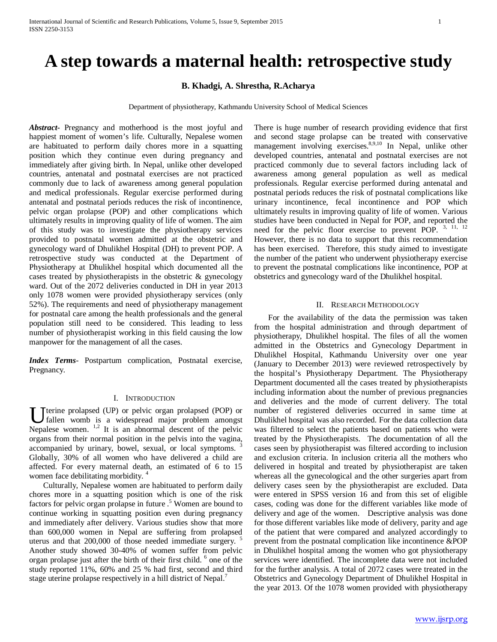# **A step towards a maternal health: retrospective study**

# **B. Khadgi, A. Shrestha, R.Acharya**

Department of physiotherapy, Kathmandu University School of Medical Sciences

*Abstract***-** Pregnancy and motherhood is the most joyful and happiest moment of women's life. Culturally, Nepalese women are habituated to perform daily chores more in a squatting position which they continue even during pregnancy and immediately after giving birth. In Nepal, unlike other developed countries, antenatal and postnatal exercises are not practiced commonly due to lack of awareness among general population and medical professionals. Regular exercise performed during antenatal and postnatal periods reduces the risk of incontinence, pelvic organ prolapse (POP) and other complications which ultimately results in improving quality of life of women. The aim of this study was to investigate the physiotherapy services provided to postnatal women admitted at the obstetric and gynecology ward of Dhulikhel Hospital (DH) to prevent POP. A retrospective study was conducted at the Department of Physiotherapy at Dhulikhel hospital which documented all the cases treated by physiotherapists in the obstetric & gynecology ward. Out of the 2072 deliveries conducted in DH in year 2013 only 1078 women were provided physiotherapy services (only 52%). The requirements and need of physiotherapy management for postnatal care among the health professionals and the general population still need to be considered. This leading to less number of physiotherapist working in this field causing the low manpower for the management of all the cases.

*Index Terms*- Postpartum complication, Postnatal exercise, Pregnancy.

## I. INTRODUCTION

terine prolapsed (UP) or pelvic organ prolapsed (POP) or fallen womb is a widespread major problem amongst U fallen womb is a widespread major prolapsed (POP) or fallen womb is a widespread major problem amongst Nepalese women.  $\frac{1}{2}$  It is an abnormal descent of the pelvic organs from their normal position in the pelvis into the vagina, accompanied by urinary, bowel, sexual, or local symptoms. Globally, 30% of all women who have delivered a child are affected. For every maternal death, an estimated of 6 to 15 women face debilitating morbidity.<sup>4</sup>

 Culturally, Nepalese women are habituated to perform daily chores more in a squatting position which is one of the risk factors for pelvic organ prolapse in future  $\cdot$ <sup>5</sup> Women are bound to continue working in squatting position even during pregnancy and immediately after delivery. Various studies show that more than 600,000 women in Nepal are suffering from prolapsed uterus and that 200,000 of those needed immediate surgery.<sup>5</sup> Another study showed 30-40% of women suffer from pelvic organ prolapse just after the birth of their first child. <sup>6</sup> one of the study reported 11%, 60% and 25 % had first, second and third stage uterine prolapse respectively in a hill district of Nepal.<sup>7</sup>

There is huge number of research providing evidence that first and second stage prolapse can be treated with conservative management involving exercises.<sup>8,9,10</sup> In Nepal, unlike other developed countries, antenatal and postnatal exercises are not practiced commonly due to several factors including lack of awareness among general population as well as medical professionals. Regular exercise performed during antenatal and postnatal periods reduces the risk of postnatal complications like urinary incontinence, fecal incontinence and POP which ultimately results in improving quality of life of women. Various studies have been conducted in Nepal for POP, and reported the need for the pelvic floor exercise to prevent POP.  $3, 11, 12$ However, there is no data to support that this recommendation has been exercised. Therefore, this study aimed to investigate the number of the patient who underwent physiotherapy exercise to prevent the postnatal complications like incontinence, POP at obstetrics and gynecology ward of the Dhulikhel hospital.

#### II. RESEARCH METHODOLOGY

 For the availability of the data the permission was taken from the hospital administration and through department of physiotherapy, Dhulikhel hospital. The files of all the women admitted in the Obstetrics and Gynecology Department in Dhulikhel Hospital, Kathmandu University over one year (January to December 2013) were reviewed retrospectively by the hospital's Physiotherapy Department. The Physiotherapy Department documented all the cases treated by physiotherapists including information about the number of previous pregnancies and deliveries and the mode of current delivery. The total number of registered deliveries occurred in same time at Dhulikhel hospital was also recorded. For the data collection data was filtered to select the patients based on patients who were treated by the Physiotherapists. The documentation of all the cases seen by physiotherapist was filtered according to inclusion and exclusion criteria. In inclusion criteria all the mothers who delivered in hospital and treated by physiotherapist are taken whereas all the gynecological and the other surgeries apart from delivery cases seen by the physiotherapist are excluded. Data were entered in SPSS version 16 and from this set of eligible cases, coding was done for the different variables like mode of delivery and age of the women. Descriptive analysis was done for those different variables like mode of delivery, parity and age of the patient that were compared and analyzed accordingly to prevent from the postnatal complication like incontinence &POP in Dhulikhel hospital among the women who got physiotherapy services were identified. The incomplete data were not included for the further analysis. A total of 2072 cases were treated in the Obstetrics and Gynecology Department of Dhulikhel Hospital in the year 2013. Of the 1078 women provided with physiotherapy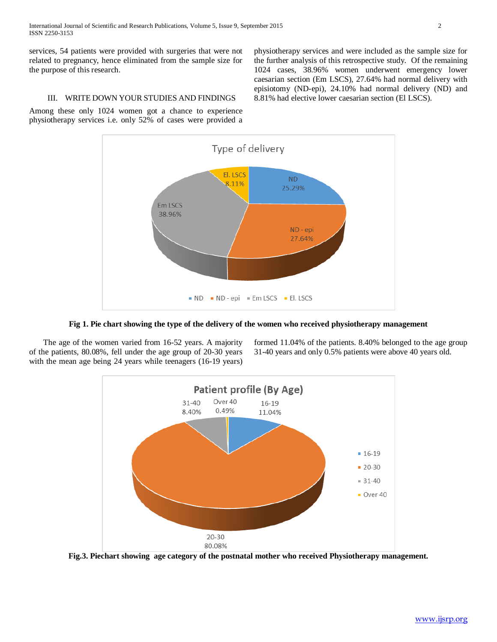services, 54 patients were provided with surgeries that were not related to pregnancy, hence eliminated from the sample size for the purpose of this research.

physiotherapy services and were included as the sample size for the further analysis of this retrospective study. Of the remaining 1024 cases, 38.96% women underwent emergency lower caesarian section (Em LSCS), 27.64% had normal delivery with episiotomy (ND-epi), 24.10% had normal delivery (ND) and 8.81% had elective lower caesarian section (El LSCS).

# III. WRITE DOWN YOUR STUDIES AND FINDINGS

Among these only 1024 women got a chance to experience physiotherapy services i.e. only 52% of cases were provided a



**Fig 1. Pie chart showing the type of the delivery of the women who received physiotherapy management**

 The age of the women varied from 16-52 years. A majority of the patients, 80.08%, fell under the age group of 20-30 years with the mean age being 24 years while teenagers (16-19 years) formed 11.04% of the patients. 8.40% belonged to the age group 31-40 years and only 0.5% patients were above 40 years old.



**Fig.3. Piechart showing age category of the postnatal mother who received Physiotherapy management.**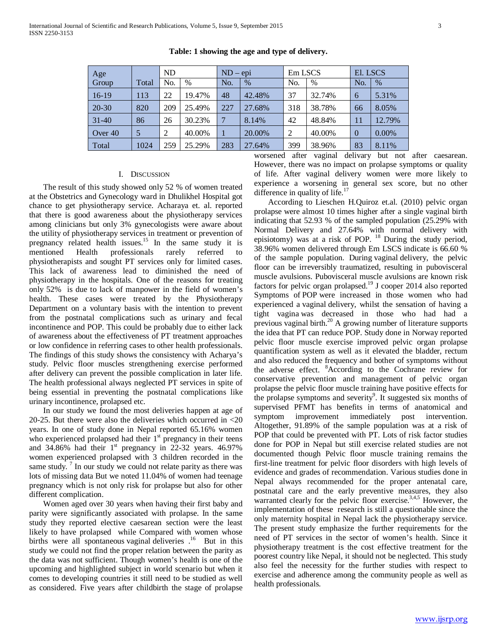| Age       |       | <b>ND</b> |        | $ND - epi$ |        | Em LSCS        |        | El. LSCS       |          |
|-----------|-------|-----------|--------|------------|--------|----------------|--------|----------------|----------|
| Group     | Total | No.       | $\%$   | No.        | $\%$   | No.            | $\%$   | No.            | $\%$     |
| $16-19$   | 113   | 22        | 19.47% | 48         | 42.48% | 37             | 32.74% | 6              | 5.31%    |
| $20 - 30$ | 820   | 209       | 25.49% | 227        | 27.68% | 318            | 38.78% | 66             | 8.05%    |
| $31 - 40$ | 86    | 26        | 30.23% | 7          | 8.14%  | 42             | 48.84% | 11             | 12.79%   |
| Over 40   | 5     | 2         | 40.00% |            | 20.00% | $\overline{2}$ | 40.00% | $\overline{0}$ | $0.00\%$ |
| Total     | 1024  | 259       | 25.29% | 283        | 27.64% | 399            | 38.96% | 83             | 8.11%    |

## **Table: 1 showing the age and type of delivery.**

## I. DISCUSSION

 The result of this study showed only 52 % of women treated at the Obstetrics and Gynecology ward in Dhulikhel Hospital got chance to get physiotherapy service. Acharaya et. al. reported that there is good awareness about the physiotherapy services among clinicians but only 3% gynecologists were aware about the utility of physiotherapy services in treatment or prevention of pregnancy related health issues.<sup>15</sup> In the same study it is mentioned Health professionals rarely referred to physiotherapists and sought PT services only for limited cases. This lack of awareness lead to diminished the need of physiotherapy in the hospitals. One of the reasons for treating only 52% is due to lack of manpower in the field of women's health. These cases were treated by the Physiotherapy Department on a voluntary basis with the intention to prevent from the postnatal complications such as urinary and fecal incontinence and POP. This could be probably due to either lack of awareness about the effectiveness of PT treatment approaches or low confidence in referring cases to other health professionals. The findings of this study shows the consistency with Acharya's study. Pelvic floor muscles strengthening exercise performed after delivery can prevent the possible complication in later life. The health professional always neglected PT services in spite of being essential in preventing the postnatal complications like urinary incontinence, prolapsed etc.

 In our study we found the most deliveries happen at age of 20-25. But there were also the deliveries which occurred in <20 years. In one of study done in Nepal reported 65.16% women who experienced prolapsed had their  $1<sup>st</sup>$  pregnancy in their teens and 34.86% had their  $1<sup>st</sup>$  pregnancy in 22-32 years. 46.97% women experienced prolapsed with 3 children recorded in the same study. <sup>7</sup> In our study we could not relate parity as there was lots of missing data But we noted 11.04% of women had teenage pregnancy which is not only risk for prolapse but also for other different complication.

 Women aged over 30 years when having their first baby and parity were significantly associated with prolapse. In the same study they reported elective caesarean section were the least likely to have prolapsed while Compared with women whose births were all spontaneous vaginal deliveries .<sup>16</sup> But in this study we could not find the proper relation between the parity as the data was not sufficient. Though women's health is one of the upcoming and highlighted subject in world scenario but when it comes to developing countries it still need to be studied as well as considered. Five years after childbirth the stage of prolapse worsened after vaginal delivary but not after caesarean. However, there was no impact on prolapse symptoms or quality of life. After vaginal delivery women were more likely to experience a worsening in general sex score, but no other difference in quality of life.<sup>17</sup>

 According to Lieschen H.Quiroz et.al. (2010) pelvic organ prolapse were almost 10 times higher after a single vaginal birth indicating that 52.93 % of the sampled population (25.29% with Normal Delivery and 27.64% with normal delivery with episiotomy) was at a risk of POP. <sup>18</sup> During the study period, 38.96% women delivered through Em LSCS indicate is 66.60 % of the sample population. During vaginal delivery, the pelvic floor can be irreversibly traumatized, resulting in pubovisceral muscle avulsions. Pubovisceral muscle avulsions are known risk factors for pelvic organ prolapsed.<sup>19</sup> J cooper 2014 also reported Symptoms of POP were increased in those women who had experienced a vaginal delivery, whilst the sensation of having a tight vagina was decreased in those who had had a previous vaginal birth.20 A growing number of literature supports the idea that PT can reduce POP. Study done in Norway reported pelvic floor muscle exercise improved pelvic organ prolapse quantification system as well as it elevated the bladder, rectum and also reduced the frequency and bother of symptoms without the adverse effect. <sup>8</sup>According to the Cochrane review for conservative prevention and management of pelvic organ prolapse the pelvic floor muscle training have positive effects for the prolapse symptoms and severity<sup>9</sup>. It suggested six months of supervised PFMT has benefits in terms of anatomical and symptom improvement immediately post intervention. Altogether, 91.89% of the sample population was at a risk of POP that could be prevented with PT. Lots of risk factor studies done for POP in Nepal but still exercise related studies are not documented though Pelvic floor muscle training remains the first-line treatment for pelvic floor disorders with high levels of evidence and grades of recommendation. Various studies done in Nepal always recommended for the proper antenatal care, postnatal care and the early preventive measures, they also warranted clearly for the pelvic floor exercise.<sup>3,4,5</sup> However, the implementation of these research is still a questionable since the only maternity hospital in Nepal lack the physiotherapy service. The present study emphasize the further requirements for the need of PT services in the sector of women's health. Since it physiotherapy treatment is the cost effective treatment for the poorest country like Nepal, it should not be neglected. This study also feel the necessity for the further studies with respect to exercise and adherence among the community people as well as health professionals.